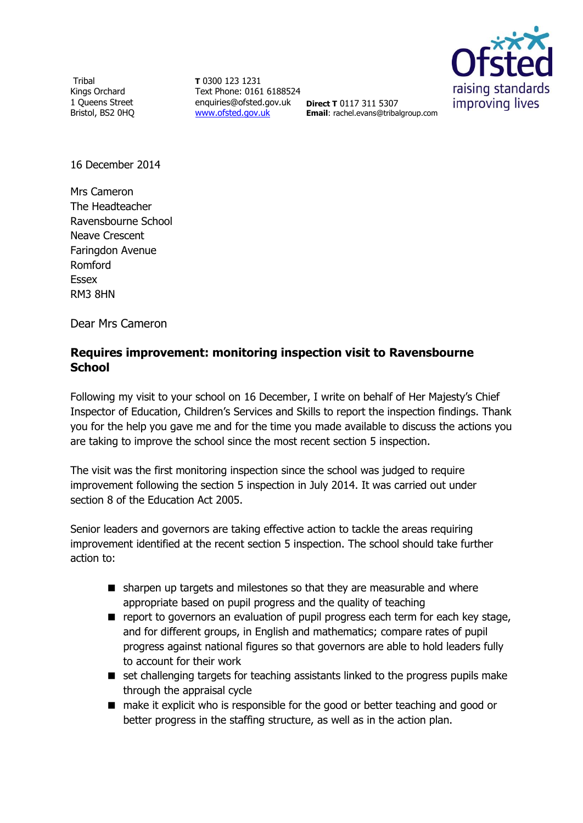**Tribal** Kings Orchard 1 Queens Street Bristol, BS2 0HQ

**T** 0300 123 1231 Text Phone: 0161 6188524 enquiries@ofsted.gov.uk **Direct T** 0117 311 5307 [www.ofsted.gov.uk](http://www.ofsted.gov.uk/)



**Email**: rachel.evans@tribalgroup.com

16 December 2014

Mrs Cameron The Headteacher Ravensbourne School Neave Crescent Faringdon Avenue Romford Essex RM3 8HN

Dear Mrs Cameron

# **Requires improvement: monitoring inspection visit to Ravensbourne School**

Following my visit to your school on 16 December, I write on behalf of Her Majesty's Chief Inspector of Education, Children's Services and Skills to report the inspection findings. Thank you for the help you gave me and for the time you made available to discuss the actions you are taking to improve the school since the most recent section 5 inspection.

The visit was the first monitoring inspection since the school was judged to require improvement following the section 5 inspection in July 2014. It was carried out under section 8 of the Education Act 2005.

Senior leaders and governors are taking effective action to tackle the areas requiring improvement identified at the recent section 5 inspection. The school should take further action to:

- sharpen up targets and milestones so that they are measurable and where appropriate based on pupil progress and the quality of teaching
- $\blacksquare$  report to governors an evaluation of pupil progress each term for each key stage, and for different groups, in English and mathematics; compare rates of pupil progress against national figures so that governors are able to hold leaders fully to account for their work
- set challenging targets for teaching assistants linked to the progress pupils make through the appraisal cycle
- make it explicit who is responsible for the good or better teaching and good or better progress in the staffing structure, as well as in the action plan.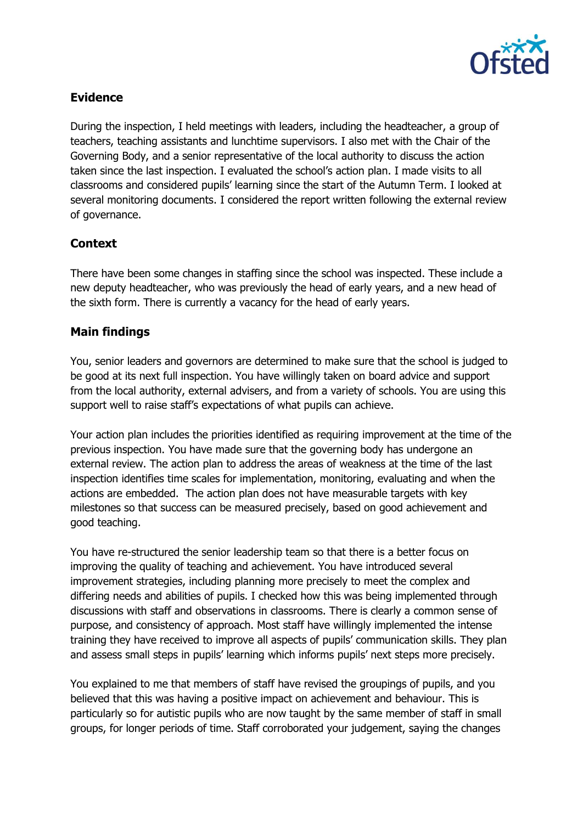

## **Evidence**

During the inspection, I held meetings with leaders, including the headteacher, a group of teachers, teaching assistants and lunchtime supervisors. I also met with the Chair of the Governing Body, and a senior representative of the local authority to discuss the action taken since the last inspection. I evaluated the school's action plan. I made visits to all classrooms and considered pupils' learning since the start of the Autumn Term. I looked at several monitoring documents. I considered the report written following the external review of governance.

# **Context**

There have been some changes in staffing since the school was inspected. These include a new deputy headteacher, who was previously the head of early years, and a new head of the sixth form. There is currently a vacancy for the head of early years.

### **Main findings**

You, senior leaders and governors are determined to make sure that the school is judged to be good at its next full inspection. You have willingly taken on board advice and support from the local authority, external advisers, and from a variety of schools. You are using this support well to raise staff's expectations of what pupils can achieve.

Your action plan includes the priorities identified as requiring improvement at the time of the previous inspection. You have made sure that the governing body has undergone an external review. The action plan to address the areas of weakness at the time of the last inspection identifies time scales for implementation, monitoring, evaluating and when the actions are embedded. The action plan does not have measurable targets with key milestones so that success can be measured precisely, based on good achievement and good teaching.

You have re-structured the senior leadership team so that there is a better focus on improving the quality of teaching and achievement. You have introduced several improvement strategies, including planning more precisely to meet the complex and differing needs and abilities of pupils. I checked how this was being implemented through discussions with staff and observations in classrooms. There is clearly a common sense of purpose, and consistency of approach. Most staff have willingly implemented the intense training they have received to improve all aspects of pupils' communication skills. They plan and assess small steps in pupils' learning which informs pupils' next steps more precisely.

You explained to me that members of staff have revised the groupings of pupils, and you believed that this was having a positive impact on achievement and behaviour. This is particularly so for autistic pupils who are now taught by the same member of staff in small groups, for longer periods of time. Staff corroborated your judgement, saying the changes